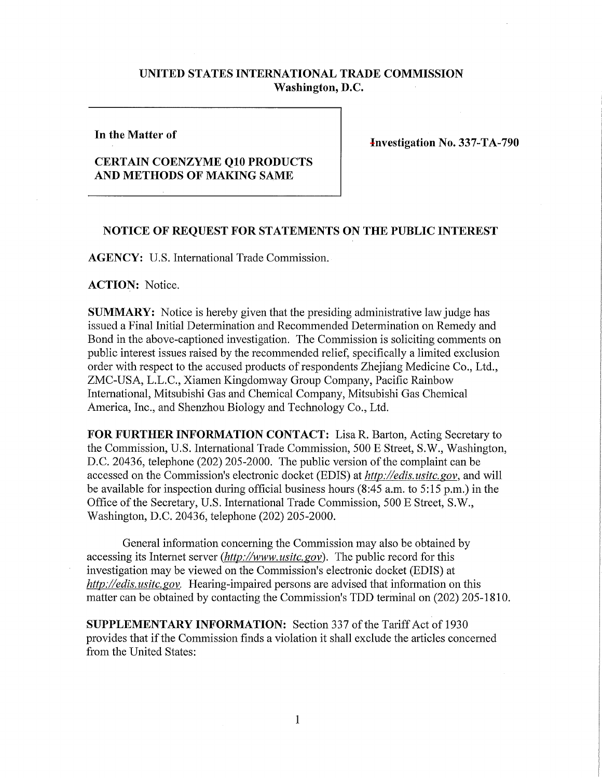## **UNITED STATES INTERNATIONAL TRADE COMMISSION Washington, D.C.**

## **In the Matter of**

**Investigation No. 337-TA-790** 

## **CERTAIN COENZYME Q10 PRODUCTS AND METHODS OF MAKING SAME**

## **NOTICE OF REQUEST FOR STATEMENTS ON THE PUBLIC INTEREST**

**AGENCY:** U.S. International Trade Commission.

**ACTION:** Notice.

**SUMMARY:** Notice is hereby given that the presiding administrative law judge has issued a Final Initial Determination and Recommended Determination on Remedy and Bond in the above-captioned investigation. The Commission is soliciting comments on public interest issues raised by the recommended relief, specifically a limited exclusion order with respect to the accused products of respondents Zhejiang Medicine Co., Ltd., ZMC-USA, L.L.C., Xiamen Kingdomway Group Company, Pacific Rainbow International, Mitsubishi Gas and Chemical Company, Mitsubishi Gas Chemical America, Inc., and Shenzhou Biology and Technology Co., Ltd.

FOR FURTHER INFORMATION CONTACT: Lisa R. Barton, Acting Secretary to the Commission, U.S. International Trade Commission, 500 E Street, S.W., Washington, D.C. 20436, telephone (202) 205-2000. The public version of the complaint can be accessed on the Commission's electronic docket (EDIS) at *http://edis. usitc.* gov, and will be available for inspection during official business hours (8:45 a.m. to 5:15 p.m.) in the Office of the Secretary, U.S. International Trade Commission, 500 E Street, S.W., Washington, D.C. 20436, telephone (202) 205-2000.

General information concerning the Commission may also be obtained by accessing its Internet server *(http://www. usitc. gov).* The public record for this investigation may be viewed on the Commission's electronic docket (EDIS) at *http://edis. usitc. gov.* Hearing-impaired persons are advised that information on this matter can be obtained by contacting the Commission's TDD terminal on (202) 205-1810.

**SUPPLEMENTARY INFORMATION:** Section 337 of the Tariff Act of 1930 provides that if the Commission finds a violation it shall exclude the articles concerned from the United States: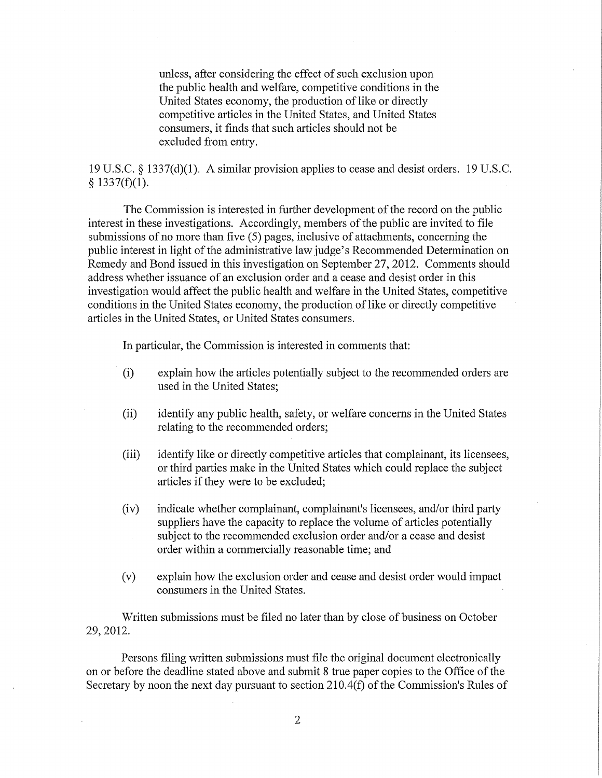unless, after considering the effect of such exclusion upon the public health and welfare, competitive conditions in the United States economy, the production of like or directly competitive articles in the United States, and United States consumers, it finds that such articles should not be excluded from entry.

19 U.S.C. § 1337(d)(1). A similar provision applies to cease and desist orders. 19 U.S.C.  $§$  1337(f)(1).

The Commission is interested in further development of the record on the public interest in these investigations. Accordingly, members of the public are invited to file submissions of no more than five (5) pages, inclusive of attachments, concerning the public interest in light of the administrative law judge's Recommended Determination on Remedy and Bond issued in this investigation on September 27, 2012. Comments should address whether issuance of an exclusion order and a cease and desist order in this investigation would affect the public health and welfare in the United States, competitive conditions in the United States economy, the production of like or directly competitive articles in the United States, or United States consumers.

In particular, the Commission is interested in comments that:

- (i) explain how the articles potentially subject to the recommended orders are used in the United States;
- (ii) identify any public health, safety, or welfare concerns in the United States relating to the recommended orders;
- (iii) identify like or directly competitive articles that complainant, its licensees, or third parties make in the United States which could replace the subject articles if they were to be excluded;
- (iv) indicate whether complainant, complainant's licensees, and/or third party suppliers have the capacity to replace the volume of articles potentially subject to the recommended exclusion order and/or a cease and desist order within a commercially reasonable time; and
- (v) explain how the exclusion order and cease and desist order would impact consumers in the United States.

Written submissions must be filed no later than by close of business on October 29, 2012.

Persons filing written submissions must file the original document electronically on or before the deadline stated above and submit 8 true paper copies to the Office of the Secretary by noon the next day pursuant to section 210.4(f) of the Commission's Rules of